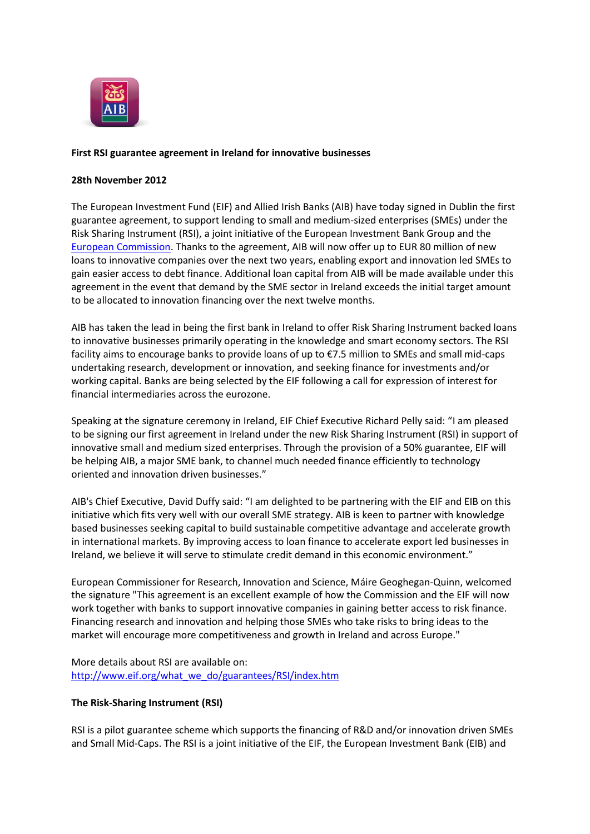

## **First RSI guarantee agreement in Ireland for innovative businesses**

### **28th November 2012**

The European Investment Fund (EIF) and Allied Irish Banks (AIB) have today signed in Dublin the first guarantee agreement, to support lending to small and medium-sized enterprises (SMEs) under the Risk Sharing Instrument (RSI), a joint initiative of the European Investment Bank Group and the [European Commission.](http://ec.europa.eu/research/index.cfm) Thanks to the agreement, AIB will now offer up to EUR 80 million of new loans to innovative companies over the next two years, enabling export and innovation led SMEs to gain easier access to debt finance. Additional loan capital from AIB will be made available under this agreement in the event that demand by the SME sector in Ireland exceeds the initial target amount to be allocated to innovation financing over the next twelve months.

AIB has taken the lead in being the first bank in Ireland to offer Risk Sharing Instrument backed loans to innovative businesses primarily operating in the knowledge and smart economy sectors. The RSI facility aims to encourage banks to provide loans of up to €7.5 million to SMEs and small mid-caps undertaking research, development or innovation, and seeking finance for investments and/or working capital. Banks are being selected by the EIF following a call for expression of interest for financial intermediaries across the eurozone.

Speaking at the signature ceremony in Ireland, EIF Chief Executive Richard Pelly said: "I am pleased to be signing our first agreement in Ireland under the new Risk Sharing Instrument (RSI) in support of innovative small and medium sized enterprises. Through the provision of a 50% guarantee, EIF will be helping AIB, a major SME bank, to channel much needed finance efficiently to technology oriented and innovation driven businesses."

AIB's Chief Executive, David Duffy said: "I am delighted to be partnering with the EIF and EIB on this initiative which fits very well with our overall SME strategy. AIB is keen to partner with knowledge based businesses seeking capital to build sustainable competitive advantage and accelerate growth in international markets. By improving access to loan finance to accelerate export led businesses in Ireland, we believe it will serve to stimulate credit demand in this economic environment."

European Commissioner for Research, Innovation and Science, Máire Geoghegan-Quinn, welcomed the signature "This agreement is an excellent example of how the Commission and the EIF will now work together with banks to support innovative companies in gaining better access to risk finance. Financing research and innovation and helping those SMEs who take risks to bring ideas to the market will encourage more competitiveness and growth in Ireland and across Europe."

More details about RSI are available on: http://www.eif.org/what\_we\_do/guarantees/RSI/index.htm

## **The Risk-Sharing Instrument (RSI)**

RSI is a pilot guarantee scheme which supports the financing of R&D and/or innovation driven SMEs and Small Mid-Caps. The RSI is a joint initiative of the EIF, the European Investment Bank (EIB) and